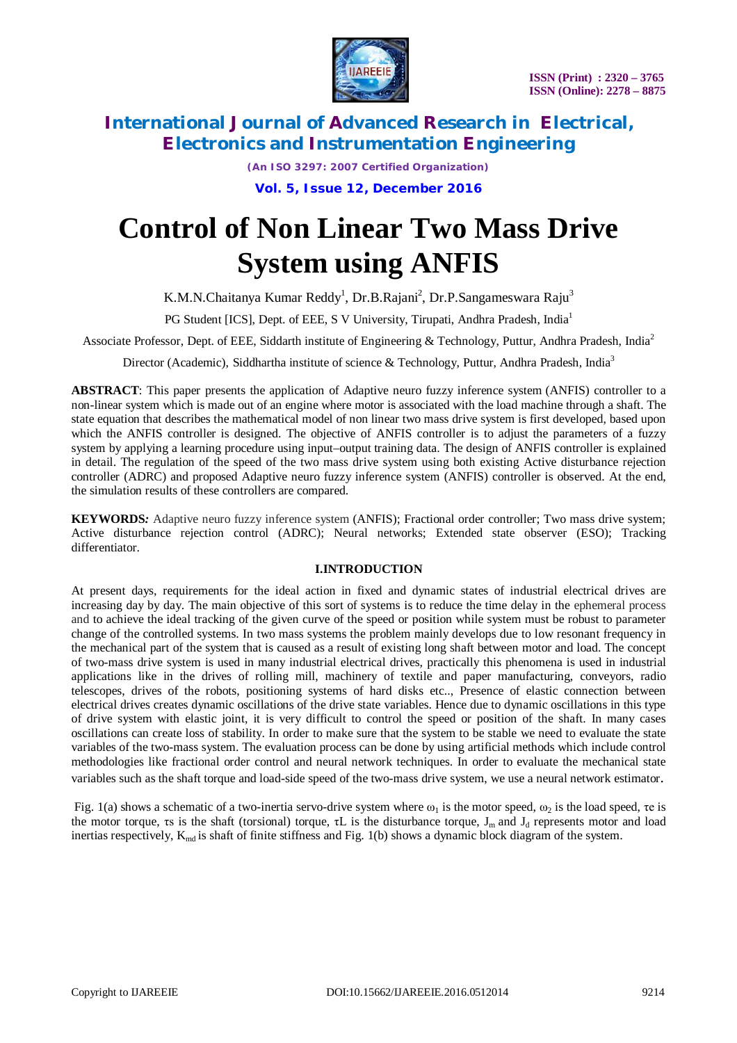

*(An ISO 3297: 2007 Certified Organization)*

**Vol. 5, Issue 12, December 2016**

# **Control of Non Linear Two Mass Drive System using ANFIS**

K.M.N.Chaitanya Kumar Reddy<sup>1</sup>, Dr.B.Rajani<sup>2</sup>, Dr.P.Sangameswara Raju<sup>3</sup>

PG Student [ICS], Dept. of EEE, S V University, Tirupati, Andhra Pradesh, India<sup>1</sup>

Associate Professor, Dept. of EEE, Siddarth institute of Engineering & Technology, Puttur, Andhra Pradesh, India<sup>2</sup>

Director (Academic), Siddhartha institute of science & Technology, Puttur, Andhra Pradesh, India<sup>3</sup>

**ABSTRACT**: This paper presents the application of Adaptive neuro fuzzy inference system (ANFIS) controller to a non-linear system which is made out of an engine where motor is associated with the load machine through a shaft. The state equation that describes the mathematical model of non linear two mass drive system is first developed, based upon which the ANFIS controller is designed. The objective of ANFIS controller is to adjust the parameters of a fuzzy system by applying a learning procedure using input–output training data. The design of ANFIS controller is explained in detail. The regulation of the speed of the two mass drive system using both existing Active disturbance rejection controller (ADRC) and proposed Adaptive neuro fuzzy inference system (ANFIS) controller is observed. At the end, the simulation results of these controllers are compared.

**KEYWORDS**: Adaptive neuro fuzzy inference system (ANFIS); Fractional order controller; Two mass drive system; Active disturbance rejection control (ADRC); Neural networks; Extended state observer (ESO); Tracking differentiator.

#### **I.INTRODUCTION**

At present days, requirements for the ideal action in fixed and dynamic states of industrial electrical drives are increasing day by day. The main objective of this sort of systems is to reduce the time delay in the ephemeral process and to achieve the ideal tracking of the given curve of the speed or position while system must be robust to parameter change of the controlled systems. In two mass systems the problem mainly develops due to low resonant frequency in the mechanical part of the system that is caused as a result of existing long shaft between motor and load. The concept of two-mass drive system is used in many industrial electrical drives, practically this phenomena is used in industrial applications like in the drives of rolling mill, machinery of textile and paper manufacturing, conveyors, radio telescopes, drives of the robots, positioning systems of hard disks etc.., Presence of elastic connection between electrical drives creates dynamic oscillations of the drive state variables. Hence due to dynamic oscillations in this type of drive system with elastic joint, it is very difficult to control the speed or position of the shaft. In many cases oscillations can create loss of stability. In order to make sure that the system to be stable we need to evaluate the state variables of the two-mass system. The evaluation process can be done by using artificial methods which include control methodologies like fractional order control and neural network techniques. In order to evaluate the mechanical state variables such as the shaft torque and load-side speed of the two-mass drive system, we use a neural network estimator.

Fig. 1(a) shows a schematic of a two-inertia servo-drive system where  $\omega_1$  is the motor speed,  $\omega_2$  is the load speed,  $\tau$ e is the motor torque, τs is the shaft (torsional) torque,  $\tau L$  is the disturbance torque,  $J_m$  and  $J_d$  represents motor and load inertias respectively,  $K_{\text{md}}$  is shaft of finite stiffness and Fig. 1(b) shows a dynamic block diagram of the system.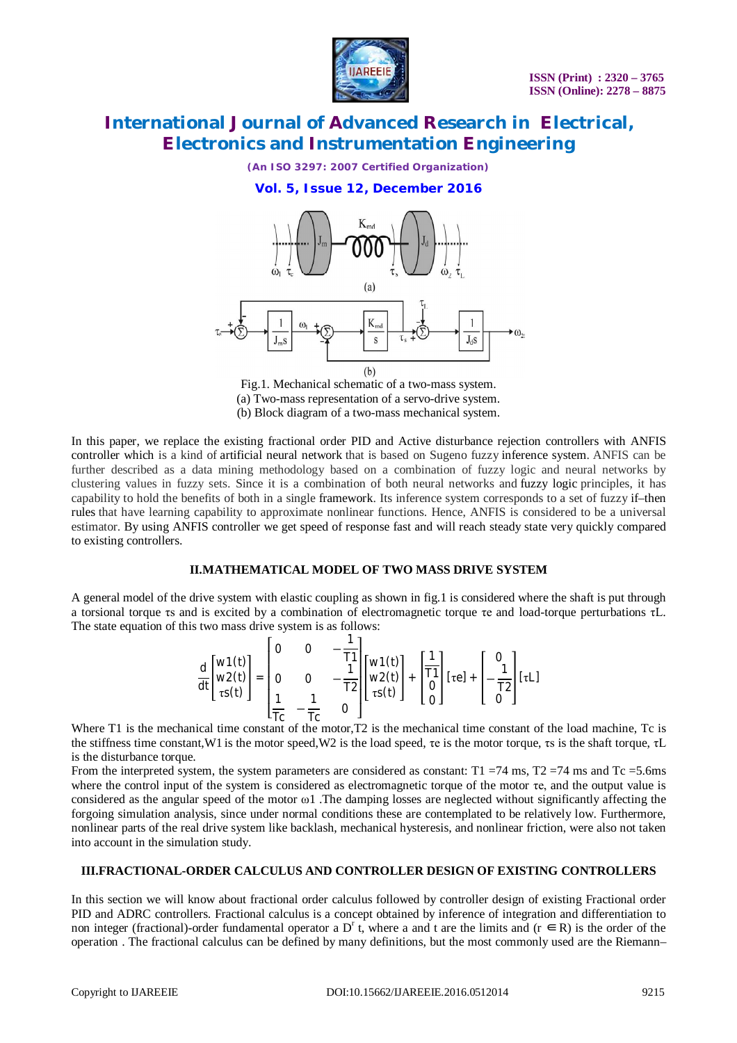

*(An ISO 3297: 2007 Certified Organization)*

#### **Vol. 5, Issue 12, December 2016**



Fig.1. Mechanical schematic of a two-mass system. (a) Two-mass representation of a servo-drive system. (b) Block diagram of a two-mass mechanical system.

In this paper, we replace the existing fractional order PID and Active disturbance rejection controllers with ANFIS controller which is a kind of artificial neural network that is based on Sugeno fuzzy inference system. ANFIS can be further described as a data mining methodology based on a combination of fuzzy logic and neural networks by clustering values in fuzzy sets. Since it is a combination of both neural networks and fuzzy logic principles, it has capability to hold the benefits of both in a single framework. Its inference system corresponds to a set of fuzzy if–then rules that have learning capability to approximate nonlinear functions. Hence, ANFIS is considered to be a universal estimator. By using ANFIS controller we get speed of response fast and will reach steady state very quickly compared to existing controllers.

#### **II.MATHEMATICAL MODEL OF TWO MASS DRIVE SYSTEM**

A general model of the drive system with elastic coupling as shown in fig.1 is considered where the shaft is put through a torsional torque τs and is excited by a combination of electromagnetic torque τe and load-torque perturbations τL. The state equation of this two mass drive system is as follows:

$$
\frac{d}{dt} \begin{bmatrix} w1(t) \\ w2(t) \\ \tau s(t) \end{bmatrix} = \begin{bmatrix} 0 & 0 & -\frac{1}{T1} \\ 0 & 0 & -\frac{1}{T2} \\ \frac{1}{TC} & -\frac{1}{TC} & 0 \end{bmatrix} \begin{bmatrix} w1(t) \\ w2(t) \\ \tau s(t) \end{bmatrix} + \begin{bmatrix} \frac{1}{T1} \\ 0 \\ 0 \end{bmatrix} [\tau e] + \begin{bmatrix} 0 \\ -\frac{1}{T2} \\ 0 \end{bmatrix} [\tau L]
$$

Where T1 is the mechanical time constant of the motor,T2 is the mechanical time constant of the load machine, Tc is the stiffness time constant, W1 is the motor speed, W2 is the load speed, τe is the motor torque, τs is the shaft torque, τL is the disturbance torque.

From the interpreted system, the system parameters are considered as constant:  $T1 = 74$  ms,  $T2 = 74$  ms and  $Tc = 5.6$ ms where the control input of the system is considered as electromagnetic torque of the motor τe, and the output value is considered as the angular speed of the motor ω1 .The damping losses are neglected without significantly affecting the forgoing simulation analysis, since under normal conditions these are contemplated to be relatively low. Furthermore, nonlinear parts of the real drive system like backlash, mechanical hysteresis, and nonlinear friction, were also not taken into account in the simulation study.

#### **III.FRACTIONAL-ORDER CALCULUS AND CONTROLLER DESIGN OF EXISTING CONTROLLERS**

In this section we will know about fractional order calculus followed by controller design of existing Fractional order PID and ADRC controllers. Fractional calculus is a concept obtained by inference of integration and differentiation to non integer (fractional)-order fundamental operator a D<sup>r</sup> t, where a and t are the limits and ( $r \in R$ ) is the order of the operation . The fractional calculus can be defined by many definitions, but the most commonly used are the Riemann–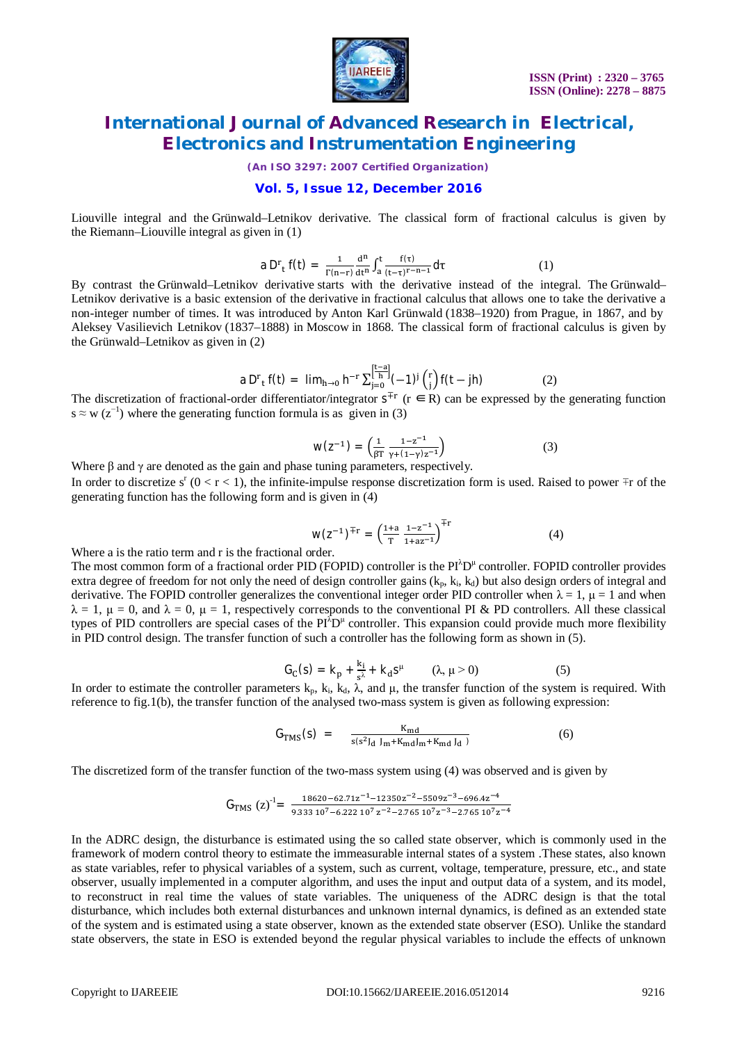

*(An ISO 3297: 2007 Certified Organization)*

#### **Vol. 5, Issue 12, December 2016**

Liouville integral and the Grünwald–Letnikov derivative. The classical form of fractional calculus is given by the Riemann–Liouville integral as given in (1)

$$
a D^{r}{}_{t} f(t) = \frac{1}{\Gamma(n-r)} \frac{d^{n}}{dt^{n}} \int_{a}^{t} \frac{f(\tau)}{(t-\tau)^{r-n-1}} d\tau
$$
 (1)

By contrast the Grünwald–Letnikov derivative starts with the derivative instead of the integral. The Grünwald– Letnikov derivative is a basic extension of the derivative in fractional calculus that allows one to take the derivative a non-integer number of times. It was introduced by Anton Karl Grünwald (1838–1920) from Prague, in 1867, and by Aleksey Vasilievich Letnikov (1837–1888) in Moscow in 1868. The classical form of fractional calculus is given by the Grünwald–Letnikov as given in (2)

a D<sup>r</sup><sub>t</sub> f(t) = 
$$
\lim_{h \to 0} h^{-r} \sum_{j=0}^{\left[\frac{t-a}{h}\right]} (-1)^j {r \choose j} f(t - jh)
$$
 (2)

The discretization of fractional-order differentiator/integrator  $s^{\pm r}$  ( $r \in R$ ) can be expressed by the generating function  $s \approx w (z^{-1})$  where the generating function formula is as given in (3)

$$
W(Z^{-1}) = \left(\frac{1}{\beta T} \frac{1 - z^{-1}}{\gamma + (1 - \gamma)z^{-1}}\right) \tag{3}
$$

Where β and γ are denoted as the gain and phase tuning parameters, respectively.

In order to discretize  $s^r$  (0 < r < 1), the infinite-impulse response discretization form is used. Raised to power  $\mp r$  of the generating function has the following form and is given in (4)

$$
W(Z^{-1})^{\mp r} = \left(\frac{1+a}{T}\frac{1-z^{-1}}{1+az^{-1}}\right)^{\mp r}
$$
 (4)

Where a is the ratio term and r is the fractional order.

The most common form of a fractional order PID (FOPID) controller is the  $PI^{\lambda}D^{\mu}$  controller. FOPID controller provides extra degree of freedom for not only the need of design controller gains  $(k_p, k_i, k_d)$  but also design orders of integral and derivative. The FOPID controller generalizes the conventional integer order PID controller when  $\lambda = 1$ ,  $\mu = 1$  and when  $\lambda = 1$ ,  $\mu = 0$ , and  $\lambda = 0$ ,  $\mu = 1$ , respectively corresponds to the conventional PI & PD controllers. All these classical types of PID controllers are special cases of the  $PI^T D^{\mu}$  controller. This expansion could provide much more flexibility in PID control design. The transfer function of such a controller has the following form as shown in (5).

$$
G_C(s) = k_p + \frac{k_i}{s^{\lambda}} + k_d s^{\mu} \qquad (\lambda, \mu > 0)
$$
 (5)

In order to estimate the controller parameters  $k_p$ ,  $k_i$ ,  $k_d$ ,  $\lambda$ , and  $\mu$ , the transfer function of the system is required. With reference to fig.1(b), the transfer function of the analysed two-mass system is given as following expression:

$$
G_{TMS}(s) = \frac{K_{md}}{s(s^2 J_d J_m + K_{md} J_m + K_{md} J_d)}
$$
(6)

The discretized form of the transfer function of the two-mass system using (4) was observed and is given by

$$
G_{TMS} (z)^{-1} = \frac{18620 - 62.71z^{-1} - 12350z^{-2} - 5509z^{-3} - 696.4z^{-4}}{9.33310^7 - 6.22210^7 z^{-2} - 2.76510^7 z^{-3} - 2.76510^7 z^{-4}}
$$

In the ADRC design, the disturbance is estimated using the so called state observer, which is commonly used in the framework of modern control theory to estimate the immeasurable internal states of a system .These states, also known as state variables, refer to physical variables of a system, such as current, voltage, temperature, pressure, etc., and state observer, usually implemented in a computer algorithm, and uses the input and output data of a system, and its model, to reconstruct in real time the values of state variables. The uniqueness of the ADRC design is that the total disturbance, which includes both external disturbances and unknown internal dynamics, is defined as an extended state of the system and is estimated using a state observer, known as the extended state observer (ESO). Unlike the standard state observers, the state in ESO is extended beyond the regular physical variables to include the effects of unknown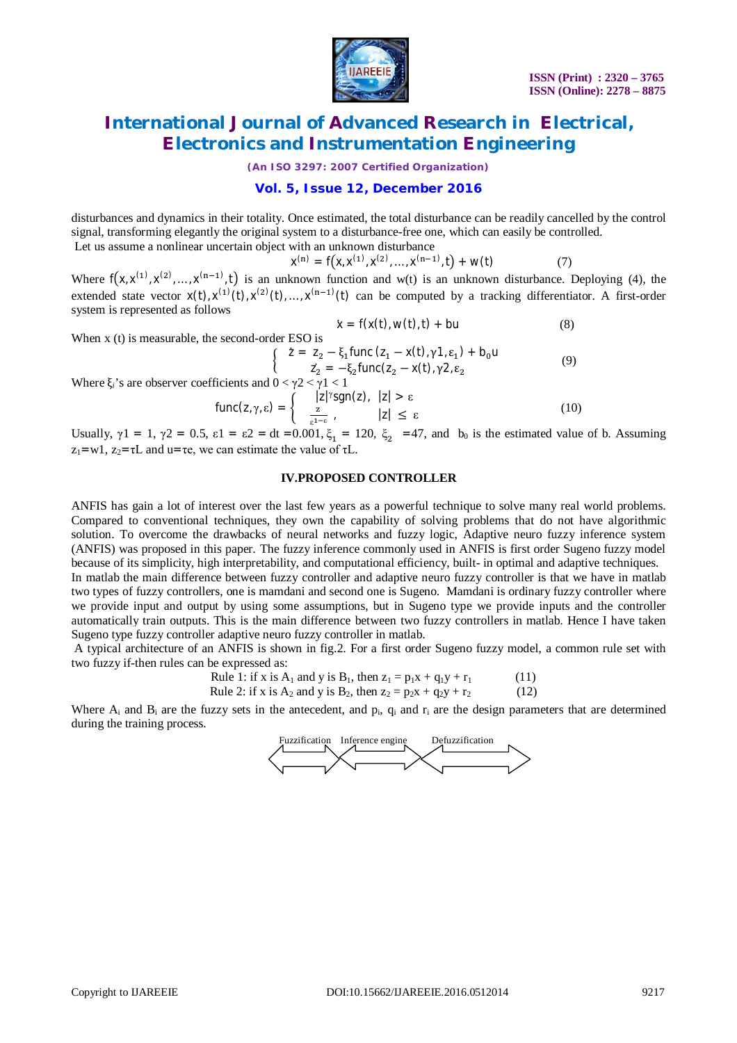

*(An ISO 3297: 2007 Certified Organization)*

#### **Vol. 5, Issue 12, December 2016**

disturbances and dynamics in their totality. Once estimated, the total disturbance can be readily cancelled by the control signal, transforming elegantly the original system to a disturbance-free one, which can easily be controlled.

Let us assume a nonlinear uncertain object with an unknown disturbance

 $x^{(n)} = f(x, x^{(1)}, x^{(2)}, \dots, x^{(n-1)}, t) + w(t)$  (7)

Where  $f(x, x^{(1)}, x^{(2)}, ..., x^{(n-1)}, t)$  is an unknown function and w(t) is an unknown disturbance. Deploying (4), the extended state vector  $x(t)$ ,  $x^{(1)}(t)$ ,  $x^{(2)}(t)$ , ...,  $x^{(n-1)}(t)$  can be computed by a tracking differentiator. A first-order system is represented as follows

$$
\dot{x} = f(x(t), w(t), t) + bu \tag{8}
$$

When x (t) is measurable, the second-order ESO is

$$
\begin{cases}\n\bar{z} = z_2 - \xi_1 \text{func} (z_1 - x(t), \gamma 1, \epsilon_1) + b_0 u \\
z_2 = -\xi_2 \text{func} (z_2 - x(t), \gamma 2, \epsilon_2\n\end{cases}
$$
\n(9)

Where  $\xi_i$ 's are observer coefficients and  $0 < \gamma 2 < \gamma 1 < 1$ 

$$
\text{func}(z, \gamma, \varepsilon) = \begin{cases} \quad |z|^{ \gamma} \text{sgn}(z), & |z| > \varepsilon \\ \frac{z}{\varepsilon^{1 - \varepsilon}}, & |z| \leq \varepsilon \end{cases} \tag{10}
$$

Usually,  $\gamma$ 1 = 1,  $\gamma$ 2 = 0.5,  $\varepsilon$ 1 =  $\varepsilon$ 2 = dt =0.001,  $\xi_1$  = 120,  $\xi_2$  =47, and b<sub>0</sub> is the estimated value of b. Assuming  $z_1 = w1$ ,  $z_2 = \tau L$  and  $u = \tau e$ , we can estimate the value of  $\tau L$ .

#### **IV.PROPOSED CONTROLLER**

ANFIS has gain a lot of interest over the last few years as a powerful technique to solve many real world problems. Compared to conventional techniques, they own the capability of solving problems that do not have algorithmic solution. To overcome the drawbacks of neural networks and fuzzy logic, Adaptive neuro fuzzy inference system (ANFIS) was proposed in this paper. The fuzzy inference commonly used in ANFIS is first order Sugeno fuzzy model because of its simplicity, high interpretability, and computational efficiency, built- in optimal and adaptive techniques. In matlab the main difference between fuzzy controller and adaptive neuro fuzzy controller is that we have in matlab two types of fuzzy controllers, one is mamdani and second one is Sugeno. Mamdani is ordinary fuzzy controller where we provide input and output by using some assumptions, but in Sugeno type we provide inputs and the controller automatically train outputs. This is the main difference between two fuzzy controllers in matlab. Hence I have taken Sugeno type fuzzy controller adaptive neuro fuzzy controller in matlab.

A typical architecture of an ANFIS is shown in fig.2. For a first order Sugeno fuzzy model, a common rule set with two fuzzy if-then rules can be expressed as:

Rule 1: if x is A<sub>1</sub> and y is B<sub>1</sub>, then 
$$
z_1 = p_1x + q_1y + r_1
$$
 (11)

Rule 2: if x is A<sub>2</sub> and y is B<sub>2</sub>, then  $z_2 = p_2x + q_2y + r_2$  (12)

Where  $A_i$  and  $B_i$  are the fuzzy sets in the antecedent, and  $p_i$ ,  $q_i$  and  $r_i$  are the design parameters that are determined during the training process.

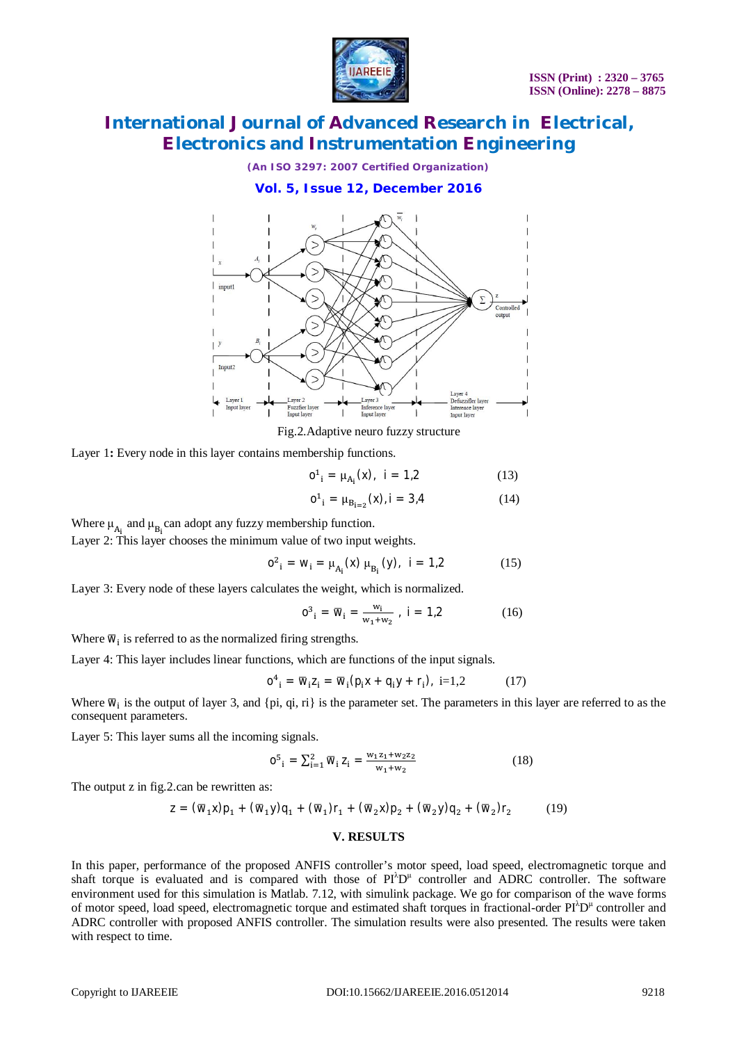

*(An ISO 3297: 2007 Certified Organization)*

#### **Vol. 5, Issue 12, December 2016**



Fig.2.Adaptive neuro fuzzy structure

Layer 1: Every node in this layer contains membership functions.

$$
o^1_{i} = \mu_{A_i}(x), \quad i = 1,2 \tag{13}
$$

$$
o^1_{i} = \mu_{B_{i=2}}(x), i = 3.4 \tag{14}
$$

Where  $\mu_{A_i}$  and  $\mu_{B_i}$  can adopt any fuzzy membership function.

Layer 2: This layer chooses the minimum value of two input weights.

$$
o^{2}{}_{i} = w_{i} = \mu_{A_{i}}(x) \mu_{B_{i}}(y), \quad i = 1,2 \tag{15}
$$

Layer 3: Every node of these layers calculates the weight, which is normalized.

$$
0^3_{i} = \overline{w}_{i} = \frac{w_i}{w_1 + w_2}, i = 1, 2
$$
 (16)

Where  $\overline{w}_i$  is referred to as the normalized firing strengths.

Layer 4: This layer includes linear functions, which are functions of the input signals.

$$
O^4_{\ i} = \overline{W}_i Z_i = \overline{W}_i (p_i X + q_i Y + r_i), \ i=1,2 \tag{17}
$$

Where  $\overline{w}_i$  is the output of layer 3, and {pi, qi, ri} is the parameter set. The parameters in this layer are referred to as the consequent parameters.

Layer 5: This layer sums all the incoming signals.

$$
0^5_{\ i} = \sum_{i=1}^2 \overline{w}_i \, Z_i = \frac{w_1 z_1 + w_2 z_2}{w_1 + w_2} \tag{18}
$$

The output z in fig.2.can be rewritten as:

$$
z = (\overline{w}_1 x)p_1 + (\overline{w}_1 y)q_1 + (\overline{w}_1)r_1 + (\overline{w}_2 x)p_2 + (\overline{w}_2 y)q_2 + (\overline{w}_2)r_2 \qquad (19)
$$

#### **V. RESULTS**

In this paper, performance of the proposed ANFIS controller's motor speed, load speed, electromagnetic torque and shaft torque is evaluated and is compared with those of  $PI^{\lambda}D^{\mu}$  controller and ADRC controller. The software environment used for this simulation is Matlab. 7.12, with simulink package. We go for comparison of the wave forms of motor speed, load speed, electromagnetic torque and estimated shaft torques in fractional-order PI<sup>λ</sup>D<sup>µ</sup> controller and ADRC controller with proposed ANFIS controller. The simulation results were also presented. The results were taken with respect to time.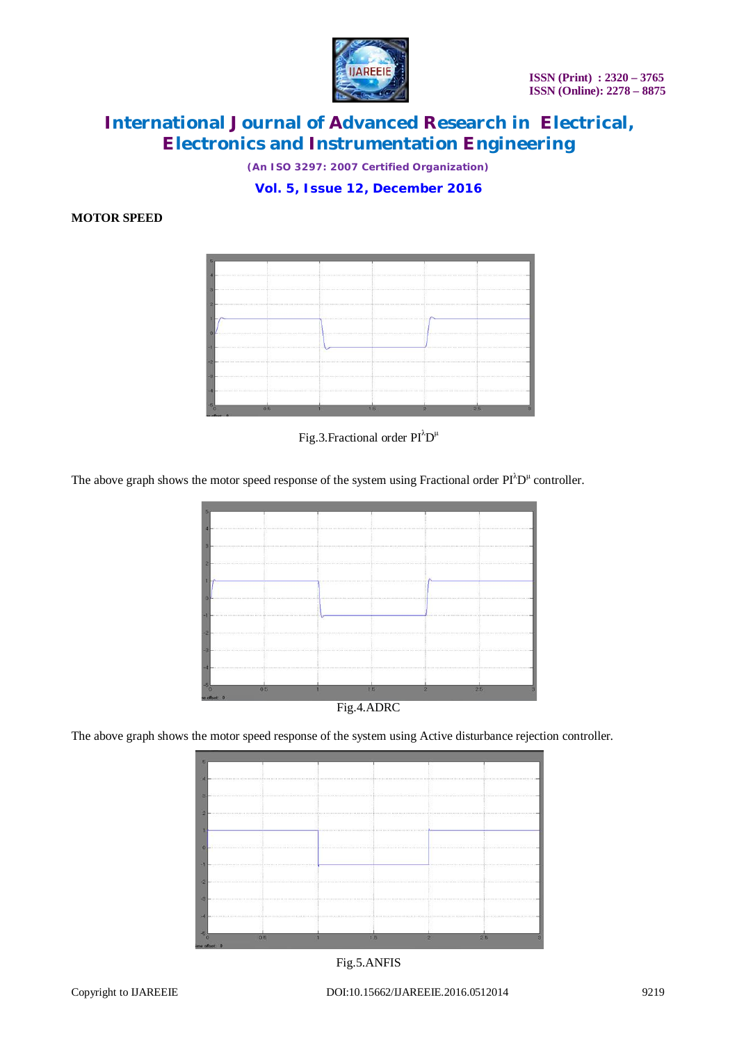

*(An ISO 3297: 2007 Certified Organization)*

**Vol. 5, Issue 12, December 2016**

#### **MOTOR SPEED**



Fig.3. Fractional order  $PI^{\lambda}D^{\mu}$ 

The above graph shows the motor speed response of the system using Fractional order  $\text{PI}^{\lambda}\text{D}^{\mu}$  controller.



Fig.4.ADRC

The above graph shows the motor speed response of the system using Active disturbance rejection controller.

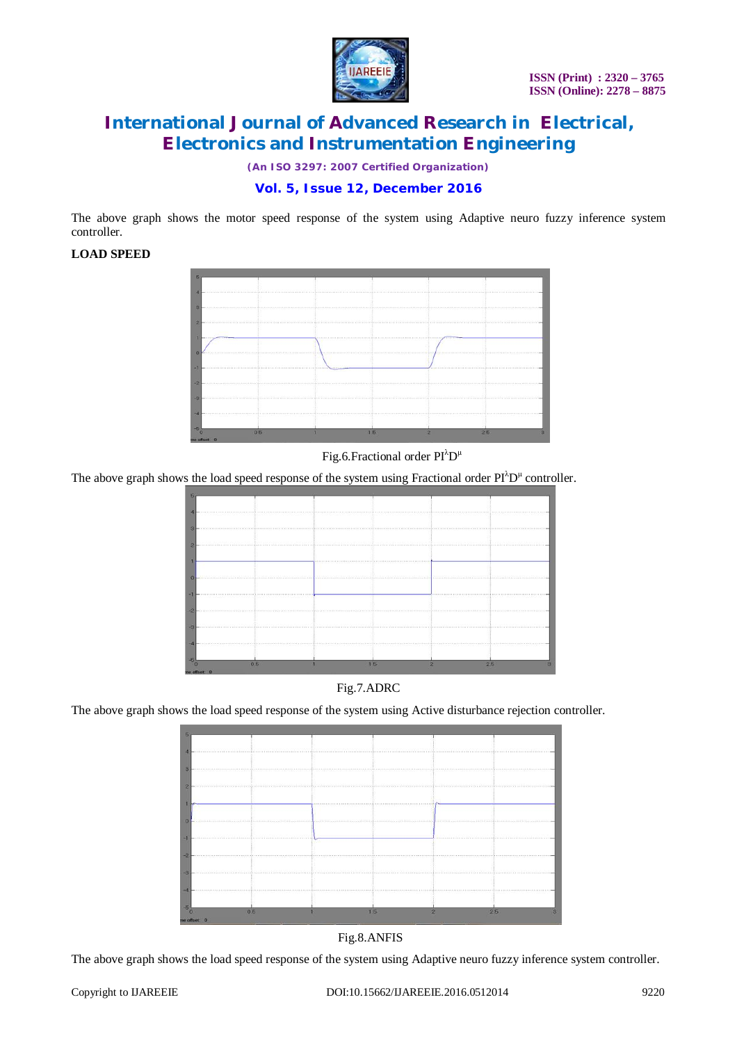

*(An ISO 3297: 2007 Certified Organization)*

#### **Vol. 5, Issue 12, December 2016**

The above graph shows the motor speed response of the system using Adaptive neuro fuzzy inference system controller.

#### **LOAD SPEED**



#### Fig.6.Fractional order  $PI^{\lambda}D^{\mu}$

The above graph shows the load speed response of the system using Fractional order  $\text{Pl}^{\lambda}\text{D}^{\mu}$  controller.

|                |                                                                                                                                                                                                                                | 55 5 5 5 5 5 5 5 5 5 5 5 6 7 8 9 5 5 6 6 7 8 9 8 9 8 8 |  |
|----------------|--------------------------------------------------------------------------------------------------------------------------------------------------------------------------------------------------------------------------------|--------------------------------------------------------|--|
|                |                                                                                                                                                                                                                                |                                                        |  |
|                |                                                                                                                                                                                                                                |                                                        |  |
|                | (1) 2012 10:00 10:00 10:00 10:00 10:00 10:00 10:00 10:00 10:00 10:00 10:00 10:00 10:00 10:00 10:00 10:00 10:00 10:00 10:00 10:00 10:00 10:00 10:00 10:00 10:00 10:00 10:00 10:00 10:00 10:00 10:00 10:00 10:00 10:00 10:00 10: |                                                        |  |
| 0 <sub>5</sub> |                                                                                                                                                                                                                                |                                                        |  |



The above graph shows the load speed response of the system using Active disturbance rejection controller.



Fig.8.ANFIS

The above graph shows the load speed response of the system using Adaptive neuro fuzzy inference system controller.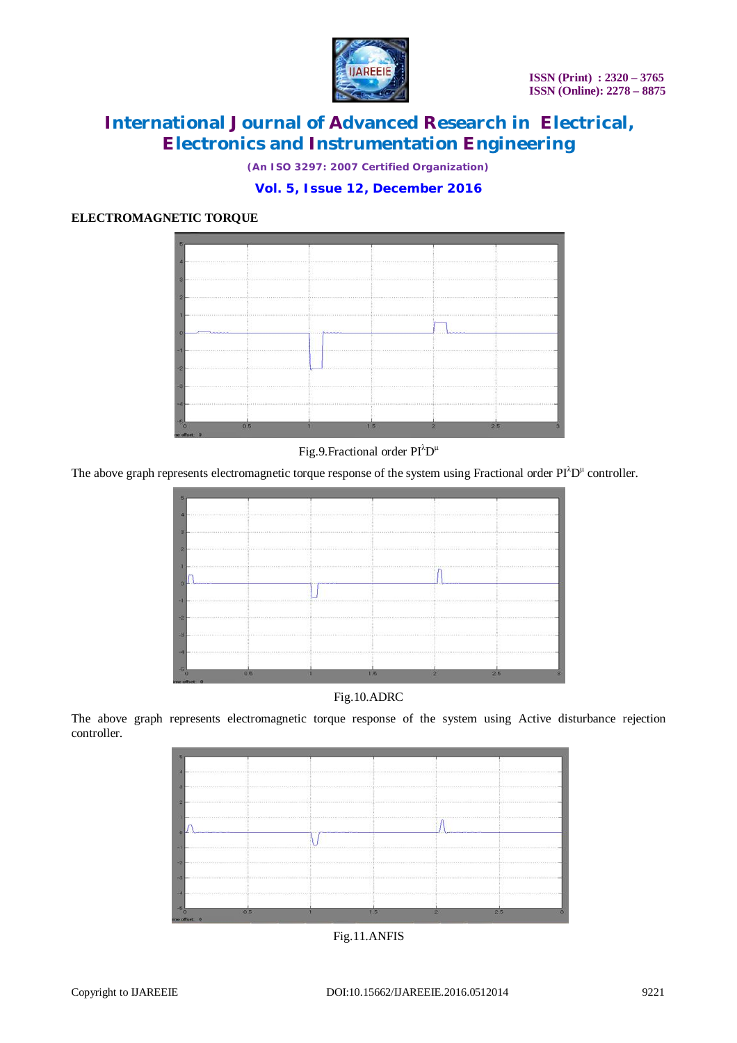

*(An ISO 3297: 2007 Certified Organization)*

#### **Vol. 5, Issue 12, December 2016**

#### **ELECTROMAGNETIC TORQUE**



#### Fig.9.Fractional order PI<sup> $\lambda$ </sup>D<sup>µ</sup>

The above graph represents electromagnetic torque response of the system using Fractional order  $\text{PI}^{\lambda}\text{D}^{\mu}$  controller.





The above graph represents electromagnetic torque response of the system using Active disturbance rejection controller.

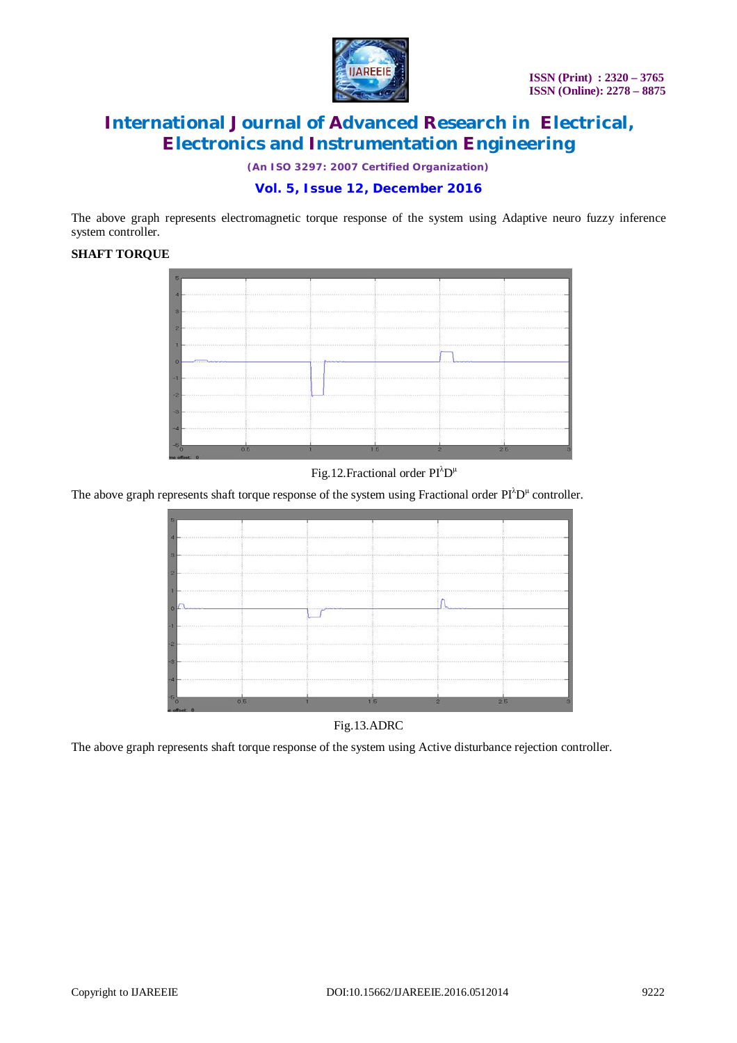

*(An ISO 3297: 2007 Certified Organization)*

#### **Vol. 5, Issue 12, December 2016**

The above graph represents electromagnetic torque response of the system using Adaptive neuro fuzzy inference system controller.

#### **SHAFT TORQUE**



Fig.12. Fractional order  $PI^{\lambda}D^{\mu}$ 

The above graph represents shaft torque response of the system using Fractional order  $PI^{\lambda}D^{\mu}$  controller.



Fig.13.ADRC

The above graph represents shaft torque response of the system using Active disturbance rejection controller.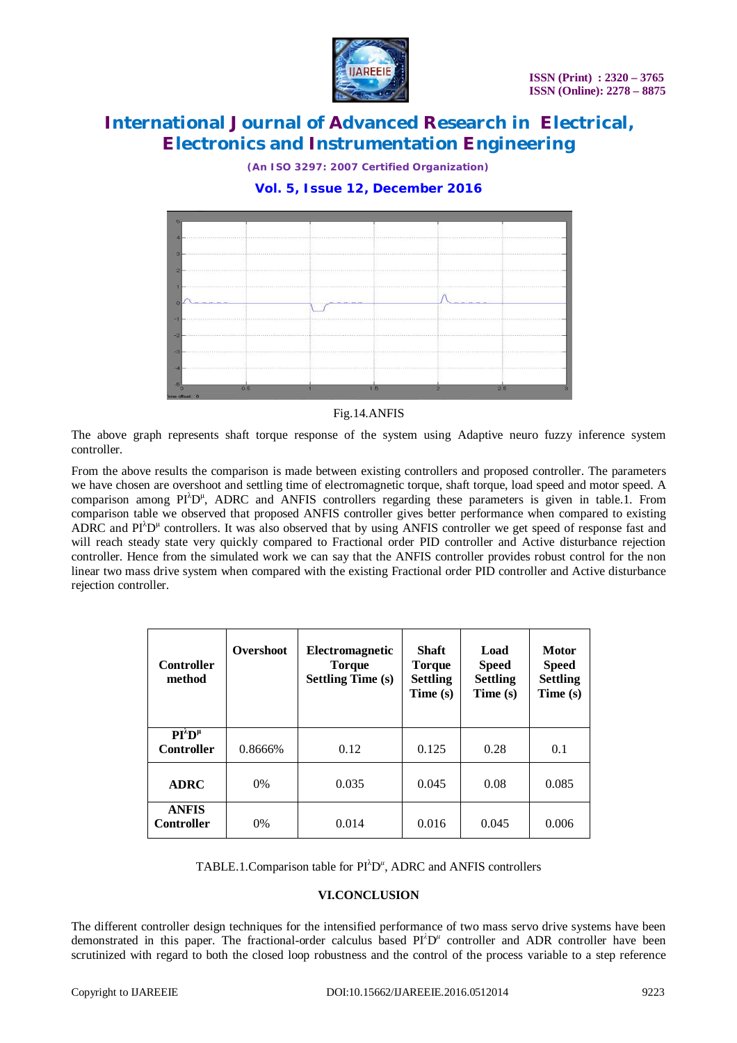

*(An ISO 3297: 2007 Certified Organization)*

#### **Vol. 5, Issue 12, December 2016**



#### Fig.14.ANFIS

The above graph represents shaft torque response of the system using Adaptive neuro fuzzy inference system controller.

From the above results the comparison is made between existing controllers and proposed controller. The parameters we have chosen are overshoot and settling time of electromagnetic torque, shaft torque, load speed and motor speed. A comparison among  $PI^{\lambda}D^{\mu}$ , ADRC and ANFIS controllers regarding these parameters is given in table.1. From comparison table we observed that proposed ANFIS controller gives better performance when compared to existing ADRC and  $PI^{\lambda}D^{\mu}$  controllers. It was also observed that by using ANFIS controller we get speed of response fast and will reach steady state very quickly compared to Fractional order PID controller and Active disturbance rejection controller. Hence from the simulated work we can say that the ANFIS controller provides robust control for the non linear two mass drive system when compared with the existing Fractional order PID controller and Active disturbance rejection controller.

| <b>Controller</b><br>method                | Overshoot | <b>Electromagnetic</b><br><b>Torque</b><br><b>Settling Time (s)</b> | <b>Shaft</b><br><b>Torque</b><br><b>Settling</b><br>Time(s) | Load<br><b>Speed</b><br><b>Settling</b><br>Time(s) | <b>Motor</b><br><b>Speed</b><br><b>Settling</b><br>Time (s) |
|--------------------------------------------|-----------|---------------------------------------------------------------------|-------------------------------------------------------------|----------------------------------------------------|-------------------------------------------------------------|
| $PI^{\lambda}D^{\mu}$<br><b>Controller</b> | 0.8666%   | 0.12                                                                | 0.125                                                       | 0.28                                               | 0.1                                                         |
| <b>ADRC</b>                                | $0\%$     | 0.035                                                               | 0.045                                                       | 0.08                                               | 0.085                                                       |
| <b>ANFIS</b><br><b>Controller</b>          | $0\%$     | 0.014                                                               | 0.016                                                       | 0.045                                              | 0.006                                                       |

TABLE.1. Comparison table for PI<sup> $\lambda$ </sup>D<sup>u</sup>, ADRC and ANFIS controllers

#### **VI.CONCLUSION**

The different controller design techniques for the intensified performance of two mass servo drive systems have been demonstrated in this paper. The fractional-order calculus based PI<sup>λ</sup>D<sup>*μ*</sup> controller and ADR controller have been scrutinized with regard to both the closed loop robustness and the control of the process variable to a step reference